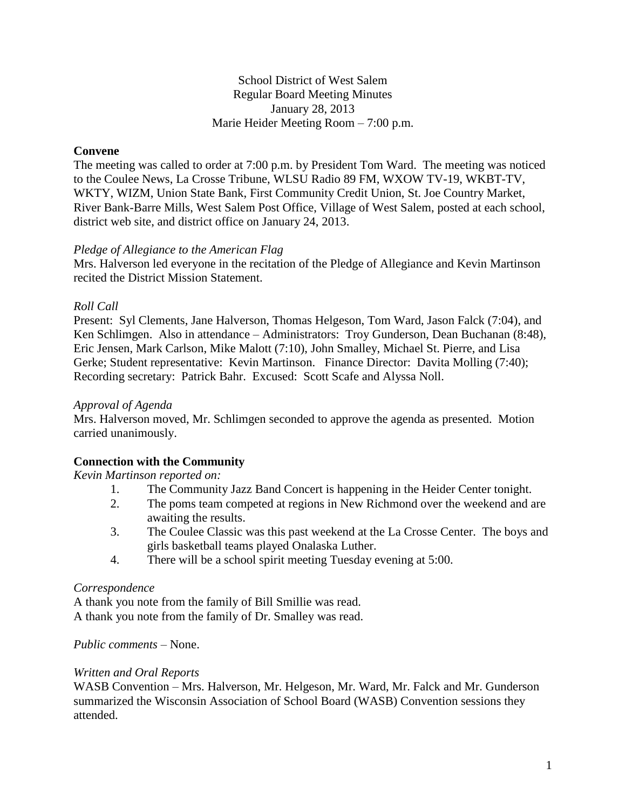School District of West Salem Regular Board Meeting Minutes January 28, 2013 Marie Heider Meeting Room – 7:00 p.m.

## **Convene**

The meeting was called to order at 7:00 p.m. by President Tom Ward. The meeting was noticed to the Coulee News, La Crosse Tribune, WLSU Radio 89 FM, WXOW TV-19, WKBT-TV, WKTY, WIZM, Union State Bank, First Community Credit Union, St. Joe Country Market, River Bank-Barre Mills, West Salem Post Office, Village of West Salem, posted at each school, district web site, and district office on January 24, 2013.

## *Pledge of Allegiance to the American Flag*

Mrs. Halverson led everyone in the recitation of the Pledge of Allegiance and Kevin Martinson recited the District Mission Statement.

## *Roll Call*

Present: Syl Clements, Jane Halverson, Thomas Helgeson, Tom Ward, Jason Falck (7:04), and Ken Schlimgen. Also in attendance – Administrators: Troy Gunderson, Dean Buchanan (8:48), Eric Jensen, Mark Carlson, Mike Malott (7:10), John Smalley, Michael St. Pierre, and Lisa Gerke; Student representative: Kevin Martinson. Finance Director: Davita Molling (7:40); Recording secretary: Patrick Bahr. Excused: Scott Scafe and Alyssa Noll.

### *Approval of Agenda*

Mrs. Halverson moved, Mr. Schlimgen seconded to approve the agenda as presented. Motion carried unanimously.

## **Connection with the Community**

*Kevin Martinson reported on:*

- 1. The Community Jazz Band Concert is happening in the Heider Center tonight.
- 2. The poms team competed at regions in New Richmond over the weekend and are awaiting the results.
- 3. The Coulee Classic was this past weekend at the La Crosse Center. The boys and girls basketball teams played Onalaska Luther.
- 4. There will be a school spirit meeting Tuesday evening at 5:00.

#### *Correspondence*

A thank you note from the family of Bill Smillie was read. A thank you note from the family of Dr. Smalley was read.

## *Public comments –* None.

#### *Written and Oral Reports*

WASB Convention – Mrs. Halverson, Mr. Helgeson, Mr. Ward, Mr. Falck and Mr. Gunderson summarized the Wisconsin Association of School Board (WASB) Convention sessions they attended.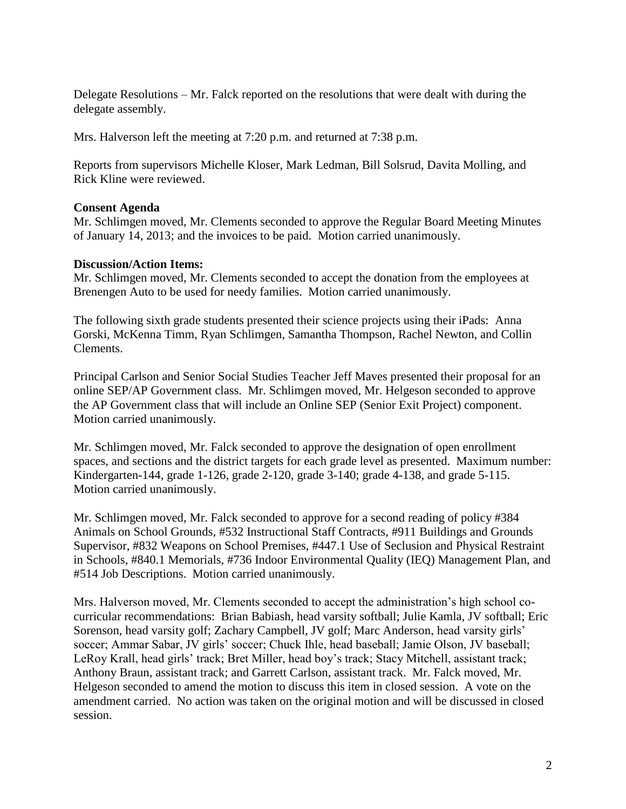Delegate Resolutions – Mr. Falck reported on the resolutions that were dealt with during the delegate assembly.

Mrs. Halverson left the meeting at 7:20 p.m. and returned at 7:38 p.m.

Reports from supervisors Michelle Kloser, Mark Ledman, Bill Solsrud, Davita Molling, and Rick Kline were reviewed.

## **Consent Agenda**

Mr. Schlimgen moved, Mr. Clements seconded to approve the Regular Board Meeting Minutes of January 14, 2013; and the invoices to be paid. Motion carried unanimously.

## **Discussion/Action Items:**

Mr. Schlimgen moved, Mr. Clements seconded to accept the donation from the employees at Brenengen Auto to be used for needy families. Motion carried unanimously.

The following sixth grade students presented their science projects using their iPads: Anna Gorski, McKenna Timm, Ryan Schlimgen, Samantha Thompson, Rachel Newton, and Collin Clements.

Principal Carlson and Senior Social Studies Teacher Jeff Maves presented their proposal for an online SEP/AP Government class. Mr. Schlimgen moved, Mr. Helgeson seconded to approve the AP Government class that will include an Online SEP (Senior Exit Project) component. Motion carried unanimously.

Mr. Schlimgen moved, Mr. Falck seconded to approve the designation of open enrollment spaces, and sections and the district targets for each grade level as presented. Maximum number: Kindergarten-144, grade 1-126, grade 2-120, grade 3-140; grade 4-138, and grade 5-115. Motion carried unanimously.

Mr. Schlimgen moved, Mr. Falck seconded to approve for a second reading of policy #384 Animals on School Grounds, #532 Instructional Staff Contracts, #911 Buildings and Grounds Supervisor, #832 Weapons on School Premises, #447.1 Use of Seclusion and Physical Restraint in Schools, #840.1 Memorials, #736 Indoor Environmental Quality (IEQ) Management Plan, and #514 Job Descriptions. Motion carried unanimously.

Mrs. Halverson moved, Mr. Clements seconded to accept the administration's high school cocurricular recommendations: Brian Babiash, head varsity softball; Julie Kamla, JV softball; Eric Sorenson, head varsity golf; Zachary Campbell, JV golf; Marc Anderson, head varsity girls' soccer; Ammar Sabar, JV girls' soccer; Chuck Ihle, head baseball; Jamie Olson, JV baseball; LeRoy Krall, head girls' track; Bret Miller, head boy's track; Stacy Mitchell, assistant track; Anthony Braun, assistant track; and Garrett Carlson, assistant track. Mr. Falck moved, Mr. Helgeson seconded to amend the motion to discuss this item in closed session. A vote on the amendment carried. No action was taken on the original motion and will be discussed in closed session.